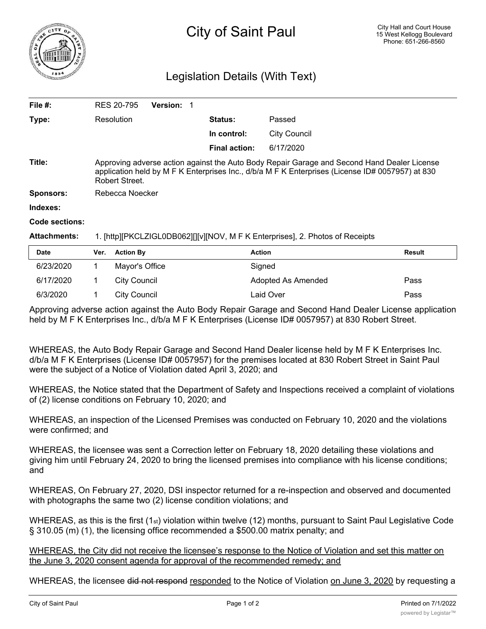

## Legislation Details (With Text)

| File #:             | RES 20-795                                                                                                                                                                                                        | <b>Version:</b><br>1 |                |                     |               |  |
|---------------------|-------------------------------------------------------------------------------------------------------------------------------------------------------------------------------------------------------------------|----------------------|----------------|---------------------|---------------|--|
| Type:               | Resolution                                                                                                                                                                                                        |                      | <b>Status:</b> | Passed              |               |  |
|                     |                                                                                                                                                                                                                   |                      | In control:    | <b>City Council</b> |               |  |
|                     |                                                                                                                                                                                                                   |                      | Final action:  | 6/17/2020           |               |  |
| Title:              | Approving adverse action against the Auto Body Repair Garage and Second Hand Dealer License<br>application held by M F K Enterprises Inc., d/b/a M F K Enterprises (License ID# 0057957) at 830<br>Robert Street. |                      |                |                     |               |  |
| <b>Sponsors:</b>    | Rebecca Noecker                                                                                                                                                                                                   |                      |                |                     |               |  |
| Indexes:            |                                                                                                                                                                                                                   |                      |                |                     |               |  |
| Code sections:      |                                                                                                                                                                                                                   |                      |                |                     |               |  |
| <b>Attachments:</b> | 1. [http][PKCLZIGL0DB062][][v][NOV, M F K Enterprises], 2. Photos of Receipts                                                                                                                                     |                      |                |                     |               |  |
| <b>Date</b>         | Ver.<br><b>Action By</b>                                                                                                                                                                                          |                      | <b>Action</b>  |                     | <b>Result</b> |  |

| Dale      | <b>VEI. ACLIVII DV</b> | ACUOIL             | resuit |
|-----------|------------------------|--------------------|--------|
| 6/23/2020 | Mayor's Office         | Signed             |        |
| 6/17/2020 | City Council           | Adopted As Amended | Pass   |
| 6/3/2020  | City Council           | Laid Over          | Pass   |

Approving adverse action against the Auto Body Repair Garage and Second Hand Dealer License application held by M F K Enterprises Inc., d/b/a M F K Enterprises (License ID# 0057957) at 830 Robert Street.

WHEREAS, the Auto Body Repair Garage and Second Hand Dealer license held by M F K Enterprises Inc. d/b/a M F K Enterprises (License ID# 0057957) for the premises located at 830 Robert Street in Saint Paul were the subject of a Notice of Violation dated April 3, 2020; and

WHEREAS, the Notice stated that the Department of Safety and Inspections received a complaint of violations of (2) license conditions on February 10, 2020; and

WHEREAS, an inspection of the Licensed Premises was conducted on February 10, 2020 and the violations were confirmed; and

WHEREAS, the licensee was sent a Correction letter on February 18, 2020 detailing these violations and giving him until February 24, 2020 to bring the licensed premises into compliance with his license conditions; and

WHEREAS, On February 27, 2020, DSI inspector returned for a re-inspection and observed and documented with photographs the same two (2) license condition violations; and

WHEREAS, as this is the first (1st) violation within twelve (12) months, pursuant to Saint Paul Legislative Code § 310.05 (m) (1), the licensing office recommended a \$500.00 matrix penalty; and

WHEREAS, the City did not receive the licensee's response to the Notice of Violation and set this matter on the June 3, 2020 consent agenda for approval of the recommended remedy; and

WHEREAS, the licensee did not respond responded to the Notice of Violation on June 3, 2020 by requesting a